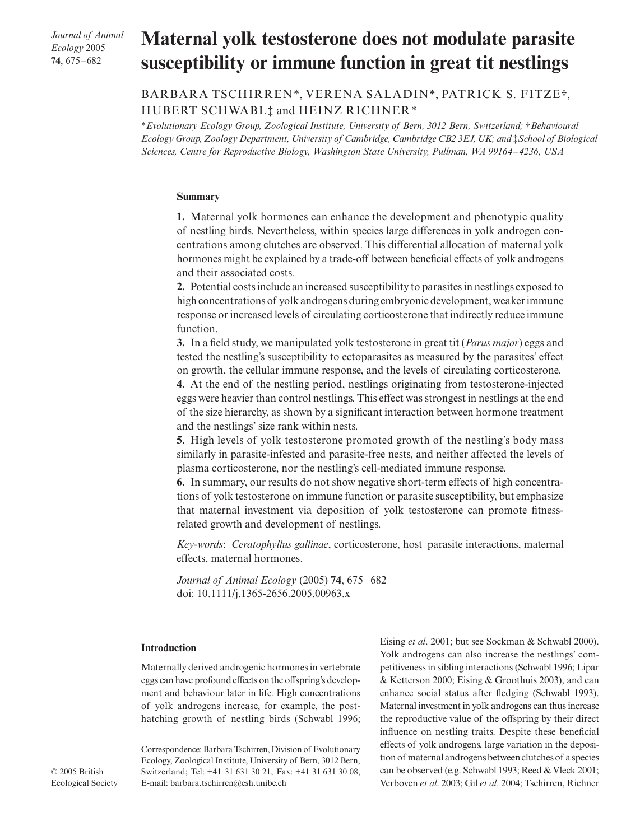*Journal of Animal Ecology* 2005 **74**, 675–682

# **Maternal yolk testosterone does not modulate parasite susceptibility or immune function in great tit nestlings**

BARBARA TSCHIRREN\*, VERENA SALADIN\*, PATRICK S. FITZE†, HUBERT SCHWABL‡ and HEINZ RICHNER\*

\**Evolutionary Ecology Group, Zoological Institute, University of Bern, 3012 Bern, Switzerland;* †*Behavioural Ecology Group, Zoology Department, University of Cambridge, Cambridge CB2 3EJ, UK; and <i>‡School of Biological Sciences, Centre for Reproductive Biology, Washington State University, Pullman, WA 99164–4236, USA* 

## **Summary**

**1.** Maternal yolk hormones can enhance the development and phenotypic quality of nestling birds. Nevertheless, within species large differences in yolk androgen concentrations among clutches are observed. This differential allocation of maternal yolk hormones might be explained by a trade-off between beneficial effects of yolk androgens and their associated costs.

**2.** Potential costs include an increased susceptibility to parasites in nestlings exposed to high concentrations of yolk androgens during embryonic development, weaker immune response or increased levels of circulating corticosterone that indirectly reduce immune function.

**3.** In a field study, we manipulated yolk testosterone in great tit (*Parus major*) eggs and tested the nestling's susceptibility to ectoparasites as measured by the parasites' effect on growth, the cellular immune response, and the levels of circulating corticosterone.

**4.** At the end of the nestling period, nestlings originating from testosterone-injected eggs were heavier than control nestlings. This effect was strongest in nestlings at the end of the size hierarchy, as shown by a significant interaction between hormone treatment and the nestlings' size rank within nests.

**5.** High levels of yolk testosterone promoted growth of the nestling's body mass similarly in parasite-infested and parasite-free nests, and neither affected the levels of plasma corticosterone, nor the nestling's cell-mediated immune response.

**6.** In summary, our results do not show negative short-term effects of high concentrations of yolk testosterone on immune function or parasite susceptibility, but emphasize that maternal investment via deposition of yolk testosterone can promote fitnessrelated growth and development of nestlings.

*Key-words*: *Ceratophyllus gallinae*, corticosterone, host–parasite interactions, maternal effects, maternal hormones.

*Journal of Animal Ecology* (2005) **74**, 675–682 doi: 10.1111/j.1365-2656.2005.00963.x

## **Introduction**

Maternally derived androgenic hormones in vertebrate eggs can have profound effects on the offspring's development and behaviour later in life. High concentrations of yolk androgens increase, for example, the posthatching growth of nestling birds (Schwabl 1996;

Correspondence: Barbara Tschirren, Division of Evolutionary Ecology, Zoological Institute, University of Bern, 3012 Bern, Switzerland; Tel: +41 31 631 30 21, Fax: +41 31 631 30 08, E-mail: barbara.tschirren@esh.unibe.ch

Eising *et al*. 2001; but see Sockman & Schwabl 2000). Yolk androgens can also increase the nestlings' competitiveness in sibling interactions (Schwabl 1996; Lipar & Ketterson 2000; Eising & Groothuis 2003), and can enhance social status after fledging (Schwabl 1993). Maternal investment in yolk androgens can thus increase the reproductive value of the offspring by their direct influence on nestling traits. Despite these beneficial effects of yolk androgens, large variation in the deposition of maternal androgens between clutches of a species can be observed (e.g. Schwabl 1993; Reed & Vleck 2001; Verboven *et al*. 2003; Gil *et al*. 2004; Tschirren, Richner

© 2005 British Ecological Society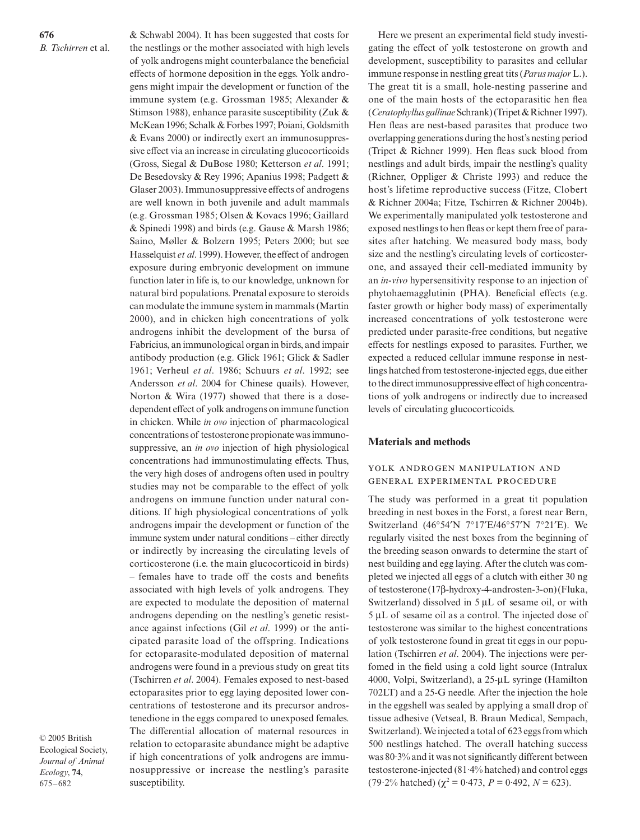**676** *B. Tschirren* et al. & Schwabl 2004). It has been suggested that costs for the nestlings or the mother associated with high levels of yolk androgens might counterbalance the beneficial effects of hormone deposition in the eggs. Yolk androgens might impair the development or function of the immune system (e.g. Grossman 1985; Alexander & Stimson 1988), enhance parasite susceptibility (Zuk & McKean 1996; Schalk & Forbes 1997; Poiani, Goldsmith & Evans 2000) or indirectly exert an immunosuppressive effect via an increase in circulating glucocorticoids (Gross, Siegal & DuBose 1980; Ketterson *et al*. 1991; De Besedovsky & Rey 1996; Apanius 1998; Padgett & Glaser 2003). Immunosuppressive effects of androgens are well known in both juvenile and adult mammals (e.g. Grossman 1985; Olsen & Kovacs 1996; Gaillard & Spinedi 1998) and birds (e.g. Gause & Marsh 1986; Saino, Møller & Bolzern 1995; Peters 2000; but see Hasselquist *et al*. 1999). However, the effect of androgen exposure during embryonic development on immune function later in life is, to our knowledge, unknown for natural bird populations. Prenatal exposure to steroids can modulate the immune system in mammals (Martin 2000), and in chicken high concentrations of yolk androgens inhibit the development of the bursa of Fabricius, an immunological organ in birds, and impair antibody production (e.g. Glick 1961; Glick & Sadler 1961; Verheul *et al*. 1986; Schuurs *et al*. 1992; see Andersson *et al*. 2004 for Chinese quails). However, Norton & Wira (1977) showed that there is a dosedependent effect of yolk androgens on immune function in chicken. While *in ovo* injection of pharmacological concentrations of testosterone propionate was immunosuppressive, an *in ovo* injection of high physiological concentrations had immunostimulating effects. Thus, the very high doses of androgens often used in poultry studies may not be comparable to the effect of yolk androgens on immune function under natural conditions. If high physiological concentrations of yolk androgens impair the development or function of the immune system under natural conditions – either directly or indirectly by increasing the circulating levels of corticosterone (i.e. the main glucocorticoid in birds) – females have to trade off the costs and benefits associated with high levels of yolk androgens. They are expected to modulate the deposition of maternal androgens depending on the nestling's genetic resistance against infections (Gil *et al*. 1999) or the anticipated parasite load of the offspring. Indications

for ectoparasite-modulated deposition of maternal androgens were found in a previous study on great tits (Tschirren *et al*. 2004). Females exposed to nest-based ectoparasites prior to egg laying deposited lower concentrations of testosterone and its precursor androstenedione in the eggs compared to unexposed females. The differential allocation of maternal resources in relation to ectoparasite abundance might be adaptive if high concentrations of yolk androgens are immunosuppressive or increase the nestling's parasite

© 2005 British Ecological Society, *Journal of Animal Ecology*, **74**, 675–682

susceptibility.

Here we present an experimental field study investigating the effect of yolk testosterone on growth and development, susceptibility to parasites and cellular immune response in nestling great tits (*Parus major*L.). The great tit is a small, hole-nesting passerine and one of the main hosts of the ectoparasitic hen flea (*Ceratophyllus gallinae*Schrank) (Tripet & Richner 1997). Hen fleas are nest-based parasites that produce two overlapping generations during the host's nesting period (Tripet & Richner 1999). Hen fleas suck blood from nestlings and adult birds, impair the nestling's quality (Richner, Oppliger & Christe 1993) and reduce the host's lifetime reproductive success (Fitze, Clobert & Richner 2004a; Fitze, Tschirren & Richner 2004b). We experimentally manipulated yolk testosterone and exposed nestlings to hen fleas or kept them free of parasites after hatching. We measured body mass, body size and the nestling's circulating levels of corticosterone, and assayed their cell-mediated immunity by an *in-vivo* hypersensitivity response to an injection of phytohaemagglutinin (PHA). Beneficial effects (e.g. faster growth or higher body mass) of experimentally increased concentrations of yolk testosterone were predicted under parasite-free conditions, but negative effects for nestlings exposed to parasites. Further, we expected a reduced cellular immune response in nestlings hatched from testosterone-injected eggs, due either to the direct immunosuppressive effect of high concentrations of yolk androgens or indirectly due to increased levels of circulating glucocorticoids.

#### **Materials and methods**

## YOLK ANDROGEN MANIPULATION AND GENERAL EXPERIMENTAL PROCEDURE

The study was performed in a great tit population breeding in nest boxes in the Forst, a forest near Bern, Switzerland (46°54′N 7°17′E/46°57′N 7°21′E). We regularly visited the nest boxes from the beginning of the breeding season onwards to determine the start of nest building and egg laying. After the clutch was completed we injected all eggs of a clutch with either 30 ng of testosterone (17β-hydroxy-4-androsten-3-on) (Fluka, Switzerland) dissolved in  $5 \mu L$  of sesame oil, or with 5 µL of sesame oil as a control. The injected dose of testosterone was similar to the highest concentrations of yolk testosterone found in great tit eggs in our population (Tschirren *et al*. 2004). The injections were perfomed in the field using a cold light source (Intralux 4000, Volpi, Switzerland), a 25-µL syringe (Hamilton 702LT) and a 25-G needle. After the injection the hole in the eggshell was sealed by applying a small drop of tissue adhesive (Vetseal, B. Braun Medical, Sempach, Switzerland). We injected a total of 623 eggs from which 500 nestlings hatched. The overall hatching success was 80·3% and it was not significantly different between testosterone-injected (81·4% hatched) and control eggs (79.2% hatched) ( $\chi^2 = 0.473$ ,  $P = 0.492$ ,  $N = 623$ ).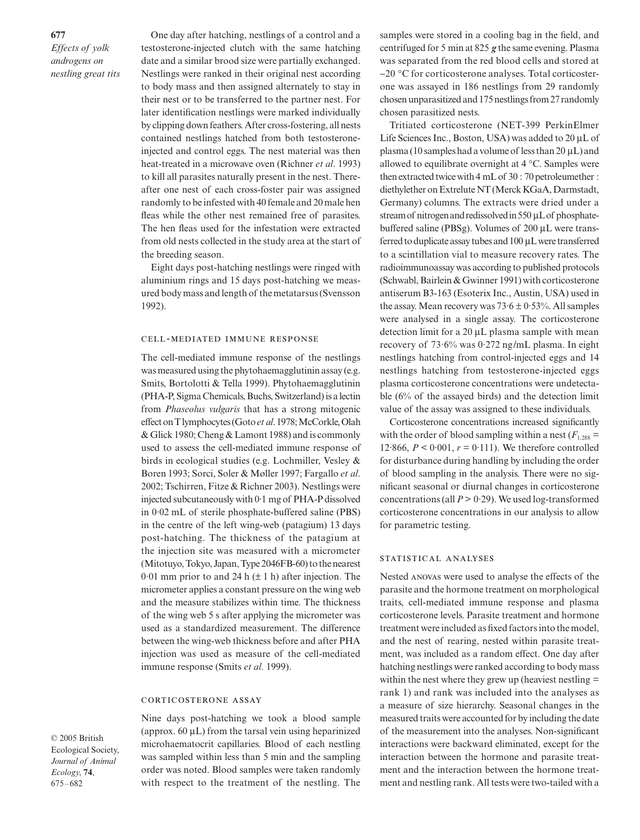**677** *Effects of yolk androgens on nestling great tits*

One day after hatching, nestlings of a control and a testosterone-injected clutch with the same hatching date and a similar brood size were partially exchanged. Nestlings were ranked in their original nest according to body mass and then assigned alternately to stay in their nest or to be transferred to the partner nest. For later identification nestlings were marked individually by clipping down feathers. After cross-fostering, all nests contained nestlings hatched from both testosteroneinjected and control eggs. The nest material was then heat-treated in a microwave oven (Richner *et al*. 1993) to kill all parasites naturally present in the nest. Thereafter one nest of each cross-foster pair was assigned randomly to be infested with 40 female and 20 male hen fleas while the other nest remained free of parasites. The hen fleas used for the infestation were extracted from old nests collected in the study area at the start of the breeding season.

Eight days post-hatching nestlings were ringed with aluminium rings and 15 days post-hatching we measured body mass and length of the metatarsus (Svensson 1992).

#### CELL-MEDIATED IMMUNE RESPONSE

The cell-mediated immune response of the nestlings was measured using the phytohaemagglutinin assay (e.g. Smits, Bortolotti & Tella 1999). Phytohaemagglutinin (PHA-P, Sigma Chemicals, Buchs, Switzerland) is a lectin from *Phaseolus vulgaris* that has a strong mitogenic effect on T lymphocytes (Goto *et al*. 1978; McCorkle, Olah & Glick 1980; Cheng & Lamont 1988) and is commonly used to assess the cell-mediated immune response of birds in ecological studies (e.g. Lochmiller, Vesley & Boren 1993; Sorci, Soler & Møller 1997; Fargallo *et al*. 2002; Tschirren, Fitze & Richner 2003). Nestlings were injected subcutaneously with 0·1 mg of PHA-P dissolved in 0·02 mL of sterile phosphate-buffered saline (PBS) in the centre of the left wing-web (patagium) 13 days post-hatching. The thickness of the patagium at the injection site was measured with a micrometer (Mitotuyo, Tokyo, Japan, Type 2046FB-60) to the nearest 0.01 mm prior to and 24 h  $(\pm 1$  h) after injection. The micrometer applies a constant pressure on the wing web and the measure stabilizes within time. The thickness of the wing web 5 s after applying the micrometer was used as a standardized measurement. The difference between the wing-web thickness before and after PHA injection was used as measure of the cell-mediated immune response (Smits *et al*. 1999).

#### CORTICOSTERONE ASSAY

© 2005 British Ecological Society, *Journal of Animal Ecology*, **74**, 675–682

Nine days post-hatching we took a blood sample (approx.  $60 \mu L$ ) from the tarsal vein using heparinized microhaematocrit capillaries. Blood of each nestling was sampled within less than 5 min and the sampling order was noted. Blood samples were taken randomly with respect to the treatment of the nestling. The

samples were stored in a cooling bag in the field, and centrifuged for 5 min at 825 *g* the same evening. Plasma was separated from the red blood cells and stored at −20 °C for corticosterone analyses. Total corticosterone was assayed in 186 nestlings from 29 randomly chosen unparasitized and 175 nestlings from 27 randomly chosen parasitized nests.

Tritiated corticosterone (NET-399 PerkinElmer Life Sciences Inc., Boston, USA) was added to 20 µL of plasma (10 samples had a volume of less than 20 µL) and allowed to equilibrate overnight at 4 °C. Samples were then extracted twice with 4 mL of 30 : 70 petroleumether : diethylether on Extrelute NT (Merck KGaA, Darmstadt, Germany) columns. The extracts were dried under a stream of nitrogen and redissolved in 550 µL of phosphatebuffered saline (PBSg). Volumes of 200 µL were transferred to duplicate assay tubes and 100 µL were transferred to a scintillation vial to measure recovery rates. The radioimmunoassay was according to published protocols (Schwabl, Bairlein & Gwinner 1991) with corticosterone antiserum B3-163 (Esoterix Inc., Austin, USA) used in the assay. Mean recovery was  $73.6 \pm 0.53$ %. All samples were analysed in a single assay. The corticosterone detection limit for a 20 µL plasma sample with mean recovery of 73·6% was 0·272 ng/mL plasma. In eight nestlings hatching from control-injected eggs and 14 nestlings hatching from testosterone-injected eggs plasma corticosterone concentrations were undetectable (6% of the assayed birds) and the detection limit value of the assay was assigned to these individuals.

Corticosterone concentrations increased significantly with the order of blood sampling within a nest  $(F_{1,288} =$ 12·866,  $P < 0.001$ ,  $r = 0.111$ ). We therefore controlled for disturbance during handling by including the order of blood sampling in the analysis. There were no significant seasonal or diurnal changes in corticosterone concentrations (all  $P > 0.29$ ). We used log-transformed corticosterone concentrations in our analysis to allow for parametric testing.

#### STATISTICAL ANALYSES

Nested ANOVAS were used to analyse the effects of the parasite and the hormone treatment on morphological traits, cell-mediated immune response and plasma corticosterone levels. Parasite treatment and hormone treatment were included as fixed factors into the model, and the nest of rearing, nested within parasite treatment, was included as a random effect. One day after hatching nestlings were ranked according to body mass within the nest where they grew up (heaviest nestling = rank 1) and rank was included into the analyses as a measure of size hierarchy. Seasonal changes in the measured traits were accounted for by including the date of the measurement into the analyses. Non-significant interactions were backward eliminated, except for the interaction between the hormone and parasite treatment and the interaction between the hormone treatment and nestling rank. All tests were two-tailed with a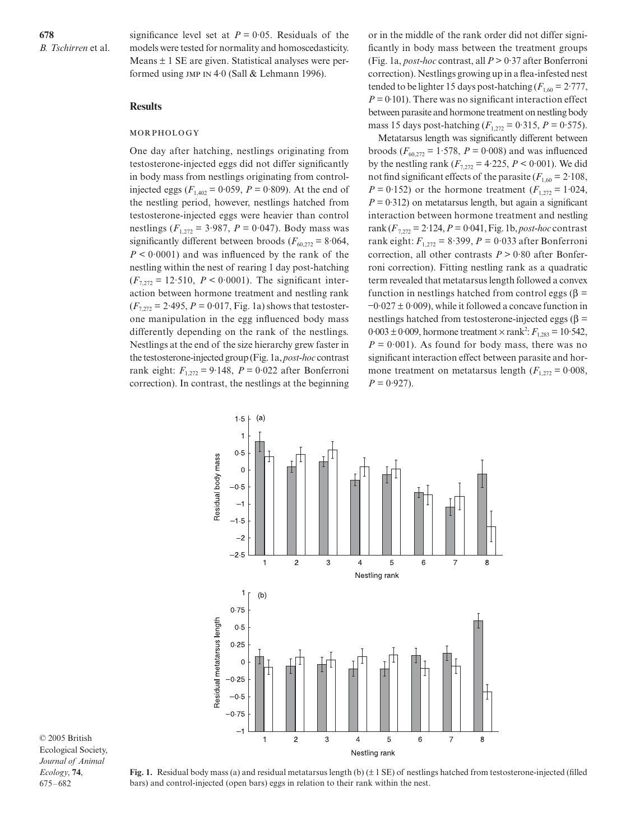significance level set at  $P = 0.05$ . Residuals of the models were tested for normality and homoscedasticity. Means  $\pm$  1 SE are given. Statistical analyses were performed using  $JMP IN 4.0$  (Sall & Lehmann 1996).

## **Results**

#### MORPHOLOGY

One day after hatching, nestlings originating from testosterone-injected eggs did not differ significantly in body mass from nestlings originating from controlinjected eggs ( $F_{1,402} = 0.059$ ,  $P = 0.809$ ). At the end of the nestling period, however, nestlings hatched from testosterone-injected eggs were heavier than control nestlings ( $F_{1,272}$  = 3.987,  $P = 0.047$ ). Body mass was significantly different between broods ( $F_{60,272}$  = 8.064, *P* < 0·0001) and was influenced by the rank of the nestling within the nest of rearing 1 day post-hatching  $(F_{7,272} = 12.510, P < 0.0001)$ . The significant interaction between hormone treatment and nestling rank  $(F_{7,272} = 2.495, P = 0.017, Fig. 1a)$  shows that testosterone manipulation in the egg influenced body mass differently depending on the rank of the nestlings. Nestlings at the end of the size hierarchy grew faster in the testosterone-injected group (Fig. 1a, *post-hoc* contrast rank eight:  $F_{1,272} = 9.148$ ,  $P = 0.022$  after Bonferroni correction). In contrast, the nestlings at the beginning or in the middle of the rank order did not differ significantly in body mass between the treatment groups (Fig. 1a, *post-hoc* contrast, all *P* > 0·37 after Bonferroni correction). Nestlings growing up in a flea-infested nest tended to be lighter 15 days post-hatching  $(F_{1,60} = 2.777$ ,  $P = 0.101$ . There was no significant interaction effect between parasite and hormone treatment on nestling body mass 15 days post-hatching  $(F_{1,272} = 0.315, P = 0.575)$ .

Metatarsus length was significantly different between broods ( $F_{60,272} = 1.578$ ,  $P = 0.008$ ) and was influenced by the nestling rank  $(F_{7,272} = 4.225, P \le 0.001)$ . We did not find significant effects of the parasite  $(F_{1,60} = 2.108$ , *P* = 0.152) or the hormone treatment  $(F_{1,272} = 1.024$ ,  $P = 0.312$ ) on metatarsus length, but again a significant interaction between hormone treatment and nestling rank  $(F_{7,272} = 2.124, P = 0.041, Fig. 1b, post-hoc contrast$ rank eight:  $F_{1,272} = 8.399$ ,  $P = 0.033$  after Bonferroni correction, all other contrasts  $P > 0.80$  after Bonferroni correction). Fitting nestling rank as a quadratic term revealed that metatarsus length followed a convex function in nestlings hatched from control eggs (β = −0·027 ± 0·009), while it followed a concave function in nestlings hatched from testosterone-injected eggs ( $\beta$  =  $0.003 \pm 0.009$ , hormone treatment  $\times$  rank<sup>2</sup>:  $F_{1,283} = 10.542$ ,  $P = 0.001$ ). As found for body mass, there was no significant interaction effect between parasite and hormone treatment on metatarsus length  $(F_{1,272} = 0.008$ ,  $P = 0.927$ .



© 2005 British Ecological Society, *Journal of Animal Ecology*, **74**, 675–682

**Fig. 1.** Residual body mass (a) and residual metatarsus length (b) ( $\pm$  1 SE) of nestlings hatched from testosterone-injected (filled bars) and control-injected (open bars) eggs in relation to their rank within the nest.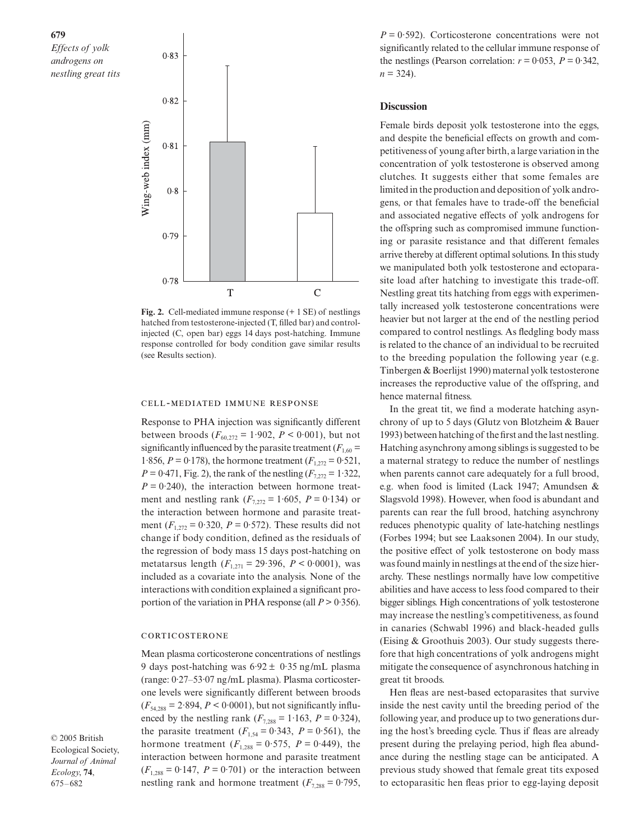## **679**

*Effects of yolk androgens on nestling great tits*



**Fig. 2.** Cell-mediated immune response (+ 1 SE) of nestlings hatched from testosterone-injected (T, filled bar) and controlinjected (C, open bar) eggs 14 days post-hatching. Immune response controlled for body condition gave similar results (see Results section).

#### CELL-MEDIATED IMMUNE RESPONSE

Response to PHA injection was significantly different between broods  $(F_{60,272} = 1.902, P \le 0.001)$ , but not significantly influenced by the parasite treatment ( $F_{1,60}$  = 1·856,  $P = 0.178$ ), the hormone treatment  $(F_{1,272} = 0.521$ ,  $P = 0.471$ , Fig. 2), the rank of the nestling  $(F_{7,272} = 1.322$ ,  $P = 0.240$ , the interaction between hormone treatment and nestling rank  $(F_{7,272} = 1.605, P = 0.134)$  or the interaction between hormone and parasite treatment  $(F_{1,272} = 0.320, P = 0.572)$ . These results did not change if body condition, defined as the residuals of the regression of body mass 15 days post-hatching on metatarsus length  $(F_{1,271} = 29.396, P \le 0.0001)$ , was included as a covariate into the analysis. None of the interactions with condition explained a significant proportion of the variation in PHA response (all  $P > 0.356$ ).

#### CORTICOSTERONE

Mean plasma corticosterone concentrations of nestlings 9 days post-hatching was  $6.92 \pm 0.35$  ng/mL plasma (range: 0·27–53·07 ng/mL plasma). Plasma corticosterone levels were significantly different between broods  $(F_{54,288} = 2.894, P \le 0.0001)$ , but not significantly influenced by the nestling rank  $(F_{7,288} = 1.163, P = 0.324)$ , the parasite treatment  $(F_{1,54} = 0.343, P = 0.561)$ , the hormone treatment  $(F_{1,288} = 0.575, P = 0.449)$ , the interaction between hormone and parasite treatment  $(F_{1,288} = 0.147, P = 0.701)$  or the interaction between nestling rank and hormone treatment  $(F_{7,288} = 0.795,$ 

© 2005 British Ecological Society, *Journal of Animal Ecology*, **74**, 675–682

 $P = 0.592$ . Corticosterone concentrations were not significantly related to the cellular immune response of the nestlings (Pearson correlation:  $r = 0.053$ ,  $P = 0.342$ ,  $n = 324$ .

## **Discussion**

Female birds deposit yolk testosterone into the eggs, and despite the beneficial effects on growth and competitiveness of young after birth, a large variation in the concentration of yolk testosterone is observed among clutches. It suggests either that some females are limited in the production and deposition of yolk androgens, or that females have to trade-off the beneficial and associated negative effects of yolk androgens for the offspring such as compromised immune functioning or parasite resistance and that different females arrive thereby at different optimal solutions. In this study we manipulated both yolk testosterone and ectoparasite load after hatching to investigate this trade-off. Nestling great tits hatching from eggs with experimentally increased yolk testosterone concentrations were heavier but not larger at the end of the nestling period compared to control nestlings. As fledgling body mass is related to the chance of an individual to be recruited to the breeding population the following year (e.g. Tinbergen & Boerlijst 1990) maternal yolk testosterone increases the reproductive value of the offspring, and hence maternal fitness.

In the great tit, we find a moderate hatching asynchrony of up to 5 days (Glutz von Blotzheim & Bauer 1993) between hatching of the first and the last nestling. Hatching asynchrony among siblings is suggested to be a maternal strategy to reduce the number of nestlings when parents cannot care adequately for a full brood, e.g. when food is limited (Lack 1947; Amundsen & Slagsvold 1998). However, when food is abundant and parents can rear the full brood, hatching asynchrony reduces phenotypic quality of late-hatching nestlings (Forbes 1994; but see Laaksonen 2004). In our study, the positive effect of yolk testosterone on body mass was found mainly in nestlings at the end of the size hierarchy. These nestlings normally have low competitive abilities and have access to less food compared to their bigger siblings. High concentrations of yolk testosterone may increase the nestling's competitiveness, as found in canaries (Schwabl 1996) and black-headed gulls (Eising & Groothuis 2003). Our study suggests therefore that high concentrations of yolk androgens might mitigate the consequence of asynchronous hatching in great tit broods.

Hen fleas are nest-based ectoparasites that survive inside the nest cavity until the breeding period of the following year, and produce up to two generations during the host's breeding cycle. Thus if fleas are already present during the prelaying period, high flea abundance during the nestling stage can be anticipated. A previous study showed that female great tits exposed to ectoparasitic hen fleas prior to egg-laying deposit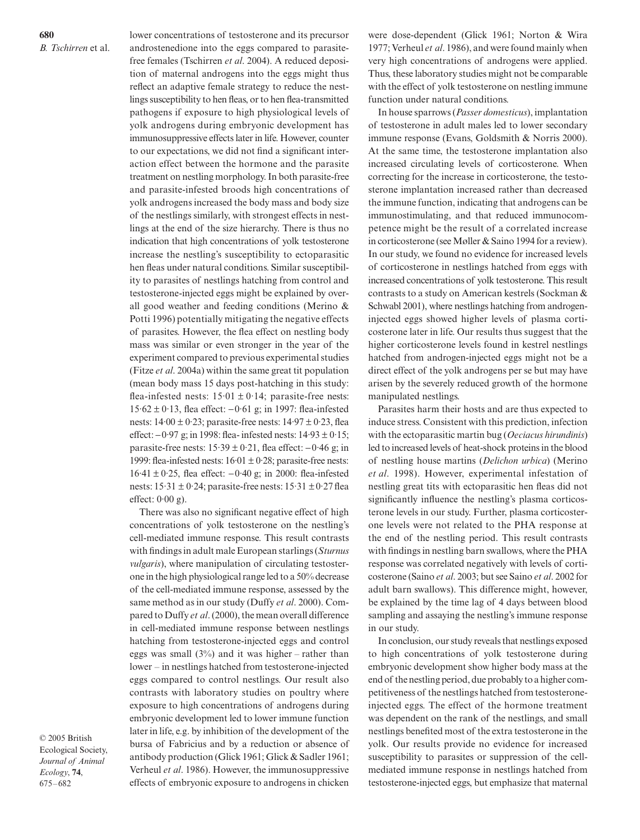**680** *B. Tschirren* et al. lower concentrations of testosterone and its precursor androstenedione into the eggs compared to parasitefree females (Tschirren *et al*. 2004). A reduced deposition of maternal androgens into the eggs might thus reflect an adaptive female strategy to reduce the nestlings susceptibility to hen fleas, or to hen flea-transmitted pathogens if exposure to high physiological levels of yolk androgens during embryonic development has immunosuppressive effects later in life. However, counter to our expectations, we did not find a significant interaction effect between the hormone and the parasite treatment on nestling morphology. In both parasite-free and parasite-infested broods high concentrations of yolk androgens increased the body mass and body size of the nestlings similarly, with strongest effects in nestlings at the end of the size hierarchy. There is thus no indication that high concentrations of yolk testosterone increase the nestling's susceptibility to ectoparasitic hen fleas under natural conditions. Similar susceptibility to parasites of nestlings hatching from control and testosterone-injected eggs might be explained by overall good weather and feeding conditions (Merino & Potti 1996) potentially mitigating the negative effects of parasites. However, the flea effect on nestling body mass was similar or even stronger in the year of the experiment compared to previous experimental studies (Fitze *et al*. 2004a) within the same great tit population (mean body mass 15 days post-hatching in this study: flea-infested nests:  $15.01 \pm 0.14$ ; parasite-free nests: 15·62 ± 0·13, flea effect: −0·61 g; in 1997: flea-infested nests:  $14.00 \pm 0.23$ ; parasite-free nests:  $14.97 \pm 0.23$ , flea effect: −0·97 g; in 1998: flea- infested nests: 14·93 ± 0·15; parasite-free nests:  $15.39 \pm 0.21$ , flea effect:  $-0.46$  g; in 1999: flea-infested nests:  $16.01 \pm 0.28$ ; parasite-free nests: 16·41 ± 0·25, flea effect: −0·40 g; in 2000: flea-infested nests:  $15.31 \pm 0.24$ ; parasite-free nests:  $15.31 \pm 0.27$  flea effect:  $0.00$  g).

There was also no significant negative effect of high concentrations of yolk testosterone on the nestling's cell-mediated immune response. This result contrasts with findings in adult male European starlings (*Sturnus vulgaris*), where manipulation of circulating testosterone in the high physiological range led to a 50% decrease of the cell-mediated immune response, assessed by the same method as in our study (Duffy *et al*. 2000). Compared to Duffy *et al*. (2000), the mean overall difference in cell-mediated immune response between nestlings hatching from testosterone-injected eggs and control eggs was small  $(3\%)$  and it was higher – rather than lower – in nestlings hatched from testosterone-injected eggs compared to control nestlings. Our result also contrasts with laboratory studies on poultry where exposure to high concentrations of androgens during embryonic development led to lower immune function later in life, e.g. by inhibition of the development of the bursa of Fabricius and by a reduction or absence of antibody production (Glick 1961; Glick & Sadler 1961; Verheul *et al*. 1986). However, the immunosuppressive effects of embryonic exposure to androgens in chicken

© 2005 British Ecological Society, *Journal of Animal Ecology*, **74**, 675–682

were dose-dependent (Glick 1961; Norton & Wira 1977; Verheul *et al*. 1986), and were found mainly when very high concentrations of androgens were applied. Thus, these laboratory studies might not be comparable with the effect of yolk testosterone on nestling immune function under natural conditions.

In house sparrows (*Passer domesticus*), implantation of testosterone in adult males led to lower secondary immune response (Evans, Goldsmith & Norris 2000). At the same time, the testosterone implantation also increased circulating levels of corticosterone. When correcting for the increase in corticosterone, the testosterone implantation increased rather than decreased the immune function, indicating that androgens can be immunostimulating, and that reduced immunocompetence might be the result of a correlated increase in corticosterone (see Møller & Saino 1994 for a review). In our study, we found no evidence for increased levels of corticosterone in nestlings hatched from eggs with increased concentrations of yolk testosterone. This result contrasts to a study on American kestrels (Sockman & Schwabl 2001), where nestlings hatching from androgeninjected eggs showed higher levels of plasma corticosterone later in life. Our results thus suggest that the higher corticosterone levels found in kestrel nestlings hatched from androgen-injected eggs might not be a direct effect of the yolk androgens per se but may have arisen by the severely reduced growth of the hormone manipulated nestlings.

Parasites harm their hosts and are thus expected to induce stress. Consistent with this prediction, infection with the ectoparasitic martin bug (*Oeciacus hirundinis*) led to increased levels of heat-shock proteins in the blood of nestling house martins (*Delichon urbica*) (Merino *et al*. 1998). However, experimental infestation of nestling great tits with ectoparasitic hen fleas did not significantly influence the nestling's plasma corticosterone levels in our study. Further, plasma corticosterone levels were not related to the PHA response at the end of the nestling period. This result contrasts with findings in nestling barn swallows, where the PHA response was correlated negatively with levels of corticosterone (Saino *et al*. 2003; but see Saino *et al*. 2002 for adult barn swallows). This difference might, however, be explained by the time lag of 4 days between blood sampling and assaying the nestling's immune response in our study.

In conclusion, our study reveals that nestlings exposed to high concentrations of yolk testosterone during embryonic development show higher body mass at the end of the nestling period, due probably to a higher competitiveness of the nestlings hatched from testosteroneinjected eggs. The effect of the hormone treatment was dependent on the rank of the nestlings, and small nestlings benefited most of the extra testosterone in the yolk. Our results provide no evidence for increased susceptibility to parasites or suppression of the cellmediated immune response in nestlings hatched from testosterone-injected eggs, but emphasize that maternal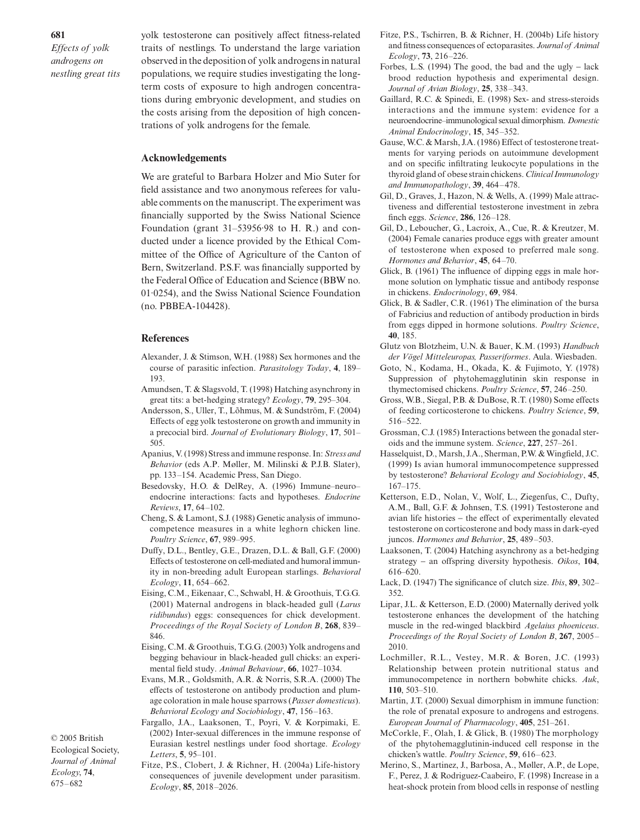*Effects of yolk androgens on nestling great tits* yolk testosterone can positively affect fitness-related traits of nestlings. To understand the large variation observed in the deposition of yolk androgens in natural populations, we require studies investigating the longterm costs of exposure to high androgen concentrations during embryonic development, and studies on the costs arising from the deposition of high concentrations of yolk androgens for the female.

#### **Acknowledgements**

We are grateful to Barbara Holzer and Mio Suter for field assistance and two anonymous referees for valuable comments on the manuscript. The experiment was financially supported by the Swiss National Science Foundation (grant 31–53956·98 to H. R.) and conducted under a licence provided by the Ethical Committee of the Office of Agriculture of the Canton of Bern, Switzerland. P.S.F. was financially supported by the Federal Office of Education and Science (BBW no. 01·0254), and the Swiss National Science Foundation (no. PBBEA-104428).

#### **References**

- Alexander, J. & Stimson, W.H. (1988) Sex hormones and the course of parasitic infection. *Parasitology Today*, **4**, 189– 193.
- Amundsen, T. & Slagsvold, T. (1998) Hatching asynchrony in great tits: a bet-hedging strategy? *Ecology*, **79**, 295–304.
- Andersson, S., Uller, T., Lõhmus, M. & Sundström, F. (2004) Effects of egg yolk testosterone on growth and immunity in a precocial bird. *Journal of Evolutionary Biology*, **17**, 501– 505.
- Apanius, V. (1998) Stress and immune response. In: *Stress and Behavior* (eds A.P. Møller, M. Milinski & P.J.B. Slater), pp. 133–154. Academic Press, San Diego.
- Besedovsky, H.O. & DelRey, A. (1996) Immune–neuro– endocrine interactions: facts and hypotheses. *Endocrine Reviews*, **17**, 64–102.
- Cheng, S. & Lamont, S.J. (1988) Genetic analysis of immunocompetence measures in a white leghorn chicken line. *Poultry Science*, **67**, 989–995.
- Duffy, D.L., Bentley, G.E., Drazen, D.L. & Ball, G.F. (2000) Effects of testosterone on cell-mediated and humoral immunity in non-breeding adult European starlings. *Behavioral Ecology*, **11**, 654–662.
- Eising, C.M., Eikenaar, C., Schwabl, H. & Groothuis, T.G.G. (2001) Maternal androgens in black-headed gull (*Larus ridibundus*) eggs: consequences for chick development. *Proceedings of the Royal Society of London B*, **268**, 839– 846.
- Eising, C.M. & Groothuis, T.G.G. (2003) Yolk androgens and begging behaviour in black-headed gull chicks: an experimental field study. *Animal Behaviour*, **66**, 1027–1034.
- Evans, M.R., Goldsmith, A.R. & Norris, S.R.A. (2000) The effects of testosterone on antibody production and plumage coloration in male house sparrows (*Passer domesticus*). *Behavioral Ecology and Sociobiology*, **47**, 156–163.
- Fargallo, J.A., Laaksonen, T., Poyri, V. & Korpimaki, E. (2002) Inter-sexual differences in the immune response of Eurasian kestrel nestlings under food shortage. *Ecology Letters*, **5**, 95–101.

Fitze, P.S., Clobert, J. & Richner, H. (2004a) Life-history consequences of juvenile development under parasitism. *Ecology*, **85**, 2018–2026.

- Fitze, P.S., Tschirren, B. & Richner, H. (2004b) Life history and fitness consequences of ectoparasites. *Journal of Animal Ecology*, **73**, 216–226.
- Forbes, L.S. (1994) The good, the bad and the ugly − lack brood reduction hypothesis and experimental design. *Journal of Avian Biology*, **25**, 338–343.
- Gaillard, R.C. & Spinedi, E. (1998) Sex- and stress-steroids interactions and the immune system: evidence for a neuroendocrine–immunological sexual dimorphism. *Domestic Animal Endocrinology*, **15**, 345–352.
- Gause, W.C. & Marsh, J.A. (1986) Effect of testosterone treatments for varying periods on autoimmune development and on specific infiltrating leukocyte populations in the thyroid gland of obese strain chickens. *Clinical Immunology and Immunopathology*, **39**, 464–478.
- Gil, D., Graves, J., Hazon, N. & Wells, A. (1999) Male attractiveness and differential testosterone investment in zebra finch eggs. *Science*, **286**, 126–128.
- Gil, D., Leboucher, G., Lacroix, A., Cue, R. & Kreutzer, M. (2004) Female canaries produce eggs with greater amount of testosterone when exposed to preferred male song. *Hormones and Behavior*, **45**, 64–70.
- Glick, B. (1961) The influence of dipping eggs in male hormone solution on lymphatic tissue and antibody response in chickens. *Endocrinology*, **69**, 984.
- Glick, B. & Sadler, C.R. (1961) The elimination of the bursa of Fabricius and reduction of antibody production in birds from eggs dipped in hormone solutions. *Poultry Science*, **40**, 185.
- Glutz von Blotzheim, U.N. & Bauer, K.M. (1993) *Handbuch der Vögel Mitteleuropas, Passeriformes*. Aula. Wiesbaden.
- Goto, N., Kodama, H., Okada, K. & Fujimoto, Y. (1978) Suppression of phytohemagglutinin skin response in thymectomised chickens. *Poultry Science*, **57**, 246–250.
- Gross, W.B., Siegal, P.B. & DuBose, R.T. (1980) Some effects of feeding corticosterone to chickens. *Poultry Science*, **59**, 516–522.
- Grossman, C.J. (1985) Interactions between the gonadal steroids and the immune system. *Science*, **227**, 257–261.
- Hasselquist, D., Marsh, J.A., Sherman, P.W. & Wingfield, J.C. (1999) Is avian humoral immunocompetence suppressed by testosterone? *Behavioral Ecology and Sociobiology*, **45**, 167–175.
- Ketterson, E.D., Nolan, V., Wolf, L., Ziegenfus, C., Dufty, A.M., Ball, G.F. & Johnsen, T.S. (1991) Testosterone and avian life histories − the effect of experimentally elevated testosterone on corticosterone and body mass in dark-eyed juncos. *Hormones and Behavior*, **25**, 489–503.
- Laaksonen, T. (2004) Hatching asynchrony as a bet-hedging strategy − an offspring diversity hypothesis. *Oikos*, **104**, 616–620.
- Lack, D. (1947) The significance of clutch size. *Ibis*, **89**, 302– 352.
- Lipar, J.L. & Ketterson, E.D. (2000) Maternally derived yolk testosterone enhances the development of the hatching muscle in the red-winged blackbird *Agelaius phoeniceus*. *Proceedings of the Royal Society of London B*, **267**, 2005– 2010.
- Lochmiller, R.L., Vestey, M.R. & Boren, J.C. (1993) Relationship between protein nutritional status and immunocompetence in northern bobwhite chicks. *Auk*, **110**, 503–510.
- Martin, J.T. (2000) Sexual dimorphism in immune function: the role of prenatal exposure to androgens and estrogens. *European Journal of Pharmacology*, **405**, 251–261.
- McCorkle, F., Olah, I. & Glick, B. (1980) The morphology of the phytohemagglutinin-induced cell response in the chicken's wattle. *Poultry Science*, **59**, 616–623.
- Merino, S., Martinez, J., Barbosa, A., Møller, A.P., de Lope, F., Perez, J. & Rodriguez-Caabeiro, F. (1998) Increase in a heat-shock protein from blood cells in response of nestling

© 2005 British Ecological Society, *Journal of Animal Ecology*, **74**,

675–682

## **681**